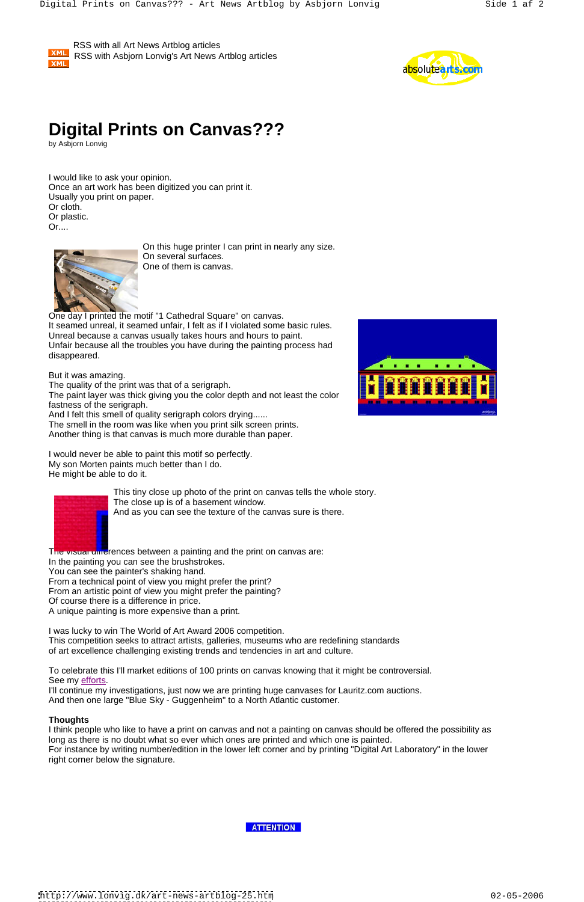XML

 RSS with all Art News Artblog articles RSS with Asbjorn Lonvig's Art News Artblog articles



## **Digital Prints on Canvas???**

by Asbjorn Lonvig

One day I printed the motif "1 Cathedral Square" on canvas. It seamed unreal, it seamed unfair, I felt as if I violated some basic rules. Unreal because a canvas usually takes hours and hours to paint. Unfair because all the troubles you have during the painting process had disappeared. A contract of the contract of the contract of the contract of the contract of the contract of the contract of the contract of the contract of the contract of the contract of the contract of the contract of the

I would like to ask your opinion. Once an art work has been digitized you can print it. Usually you print on paper. Or cloth. Or plastic. Or....

On this huge printer I can print in nearly any size. On several surfaces. One of them is canvas.

But it was amazing.

The quality of the print was that of a serigraph.

The paint layer was thick giving you the color depth and not least the color fastness of the serigraph.

The visual differences between a painting and the print on canvas are: In the painting you can see the brushstrokes. You can see the painter's shaking hand. From a technical point of view you might prefer the print? From an artistic point of view you might prefer the painting? Of course there is a difference in price. A unique painting is more expensive than a print.

And I felt this smell of quality serigraph colors drying......

To celebrate this I'll market editions of 100 prints on canvas knowing that it might be controversial. See my efforts.

The smell in the room was like when you print silk screen prints. Another thing is that canvas is much more durable than paper.

I would never be able to paint this motif so perfectly. My son Morten paints much better than I do. He might be able to do it.



This tiny close up photo of the print on canvas tells the whole story. The close up is of a basement window. And as you can see the texture of the canvas sure is there.





I'll continue my investigations, just now we are printing huge canvases for Lauritz.com auctions. And then one large "Blue Sky - Guggenheim" to a North Atlantic customer.

## **Thoughts**

I think people who like to have a print on canvas and not a painting on canvas should be offered the possibility as long as there is no doubt what so ever which ones are printed and which one is painted. For instance by writing number/edition in the lower left corner and by printing "Digital Art Laboratory" in the lower right corner below the signature.



<http://www.lonvig.dk/art-news-artblog-25.htm> 02-05-2006